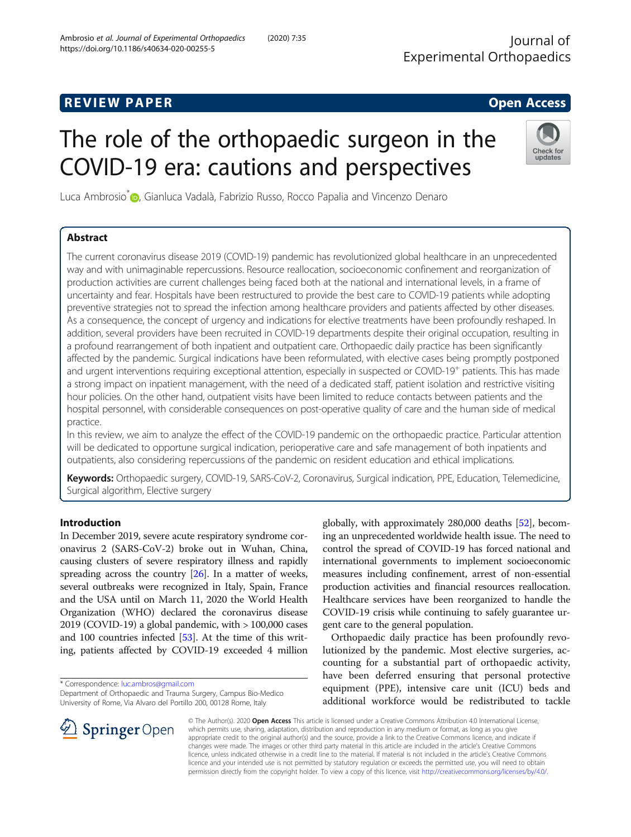# The role of the orthopaedic surgeon in the COVID-19 era: cautions and perspectives

Luca Ambrosio<sup>\*</sup> D, Gianluca Vadalà, Fabrizio Russo, Rocco Papalia and Vincenzo Denaro

# Abstract

The current coronavirus disease 2019 (COVID-19) pandemic has revolutionized global healthcare in an unprecedented way and with unimaginable repercussions. Resource reallocation, socioeconomic confinement and reorganization of production activities are current challenges being faced both at the national and international levels, in a frame of uncertainty and fear. Hospitals have been restructured to provide the best care to COVID-19 patients while adopting preventive strategies not to spread the infection among healthcare providers and patients affected by other diseases. As a consequence, the concept of urgency and indications for elective treatments have been profoundly reshaped. In addition, several providers have been recruited in COVID-19 departments despite their original occupation, resulting in a profound rearrangement of both inpatient and outpatient care. Orthopaedic daily practice has been significantly affected by the pandemic. Surgical indications have been reformulated, with elective cases being promptly postponed and urgent interventions requiring exceptional attention, especially in suspected or COVID-19<sup>+</sup> patients. This has made a strong impact on inpatient management, with the need of a dedicated staff, patient isolation and restrictive visiting hour policies. On the other hand, outpatient visits have been limited to reduce contacts between patients and the hospital personnel, with considerable consequences on post-operative quality of care and the human side of medical practice.

In this review, we aim to analyze the effect of the COVID-19 pandemic on the orthopaedic practice. Particular attention will be dedicated to opportune surgical indication, perioperative care and safe management of both inpatients and outpatients, also considering repercussions of the pandemic on resident education and ethical implications.

Keywords: Orthopaedic surgery, COVID-19, SARS-CoV-2, Coronavirus, Surgical indication, PPE, Education, Telemedicine, Surgical algorithm, Elective surgery

# Introduction

In December 2019, severe acute respiratory syndrome coronavirus 2 (SARS-CoV-2) broke out in Wuhan, China, causing clusters of severe respiratory illness and rapidly spreading across the country [[26](#page-7-0)]. In a matter of weeks, several outbreaks were recognized in Italy, Spain, France and the USA until on March 11, 2020 the World Health Organization (WHO) declared the coronavirus disease 2019 (COVID-19) a global pandemic, with > 100,000 cases and 100 countries infected [\[53\]](#page-8-0). At the time of this writing, patients affected by COVID-19 exceeded 4 million

\* Correspondence: [luc.ambros@gmail.com](mailto:luc.ambros@gmail.com)

Department of Orthopaedic and Trauma Surgery, Campus Bio-Medico University of Rome, Via Alvaro del Portillo 200, 00128 Rome, Italy

globally, with approximately 280,000 deaths [[52](#page-8-0)], becoming an unprecedented worldwide health issue. The need to control the spread of COVID-19 has forced national and international governments to implement socioeconomic measures including confinement, arrest of non-essential production activities and financial resources reallocation. Healthcare services have been reorganized to handle the COVID-19 crisis while continuing to safely guarantee urgent care to the general population.

Orthopaedic daily practice has been profoundly revolutionized by the pandemic. Most elective surgeries, accounting for a substantial part of orthopaedic activity, have been deferred ensuring that personal protective equipment (PPE), intensive care unit (ICU) beds and additional workforce would be redistributed to tackle

© The Author(s). 2020 Open Access This article is licensed under a Creative Commons Attribution 4.0 International License, which permits use, sharing, adaptation, distribution and reproduction in any medium or format, as long as you give appropriate credit to the original author(s) and the source, provide a link to the Creative Commons licence, and indicate if changes were made. The images or other third party material in this article are included in the article's Creative Commons licence, unless indicated otherwise in a credit line to the material. If material is not included in the article's Creative Commons licence and your intended use is not permitted by statutory regulation or exceeds the permitted use, you will need to obtain permission directly from the copyright holder. To view a copy of this licence, visit <http://creativecommons.org/licenses/by/4.0/>.







updates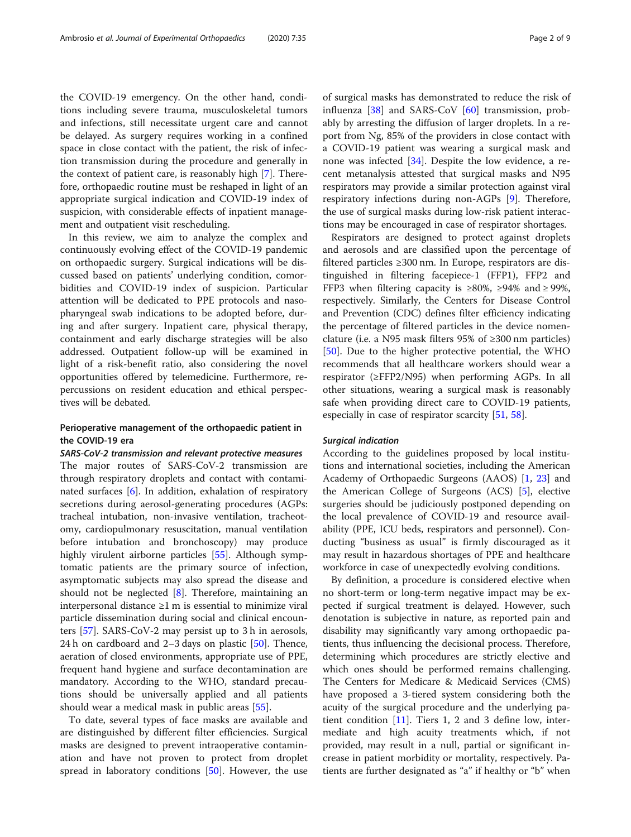the COVID-19 emergency. On the other hand, conditions including severe trauma, musculoskeletal tumors and infections, still necessitate urgent care and cannot be delayed. As surgery requires working in a confined space in close contact with the patient, the risk of infection transmission during the procedure and generally in the context of patient care, is reasonably high [[7](#page-7-0)]. Therefore, orthopaedic routine must be reshaped in light of an appropriate surgical indication and COVID-19 index of suspicion, with considerable effects of inpatient management and outpatient visit rescheduling.

In this review, we aim to analyze the complex and continuously evolving effect of the COVID-19 pandemic on orthopaedic surgery. Surgical indications will be discussed based on patients' underlying condition, comorbidities and COVID-19 index of suspicion. Particular attention will be dedicated to PPE protocols and nasopharyngeal swab indications to be adopted before, during and after surgery. Inpatient care, physical therapy, containment and early discharge strategies will be also addressed. Outpatient follow-up will be examined in light of a risk-benefit ratio, also considering the novel opportunities offered by telemedicine. Furthermore, repercussions on resident education and ethical perspectives will be debated.

# Perioperative management of the orthopaedic patient in the COVID-19 era

SARS-CoV-2 transmission and relevant protective measures The major routes of SARS-CoV-2 transmission are through respiratory droplets and contact with contaminated surfaces [[6\]](#page-7-0). In addition, exhalation of respiratory secretions during aerosol-generating procedures (AGPs: tracheal intubation, non-invasive ventilation, tracheotomy, cardiopulmonary resuscitation, manual ventilation before intubation and bronchoscopy) may produce highly virulent airborne particles [[55\]](#page-8-0). Although symptomatic patients are the primary source of infection, asymptomatic subjects may also spread the disease and should not be neglected [\[8](#page-7-0)]. Therefore, maintaining an interpersonal distance ≥1 m is essential to minimize viral particle dissemination during social and clinical encounters [\[57\]](#page-8-0). SARS-CoV-2 may persist up to 3 h in aerosols, 24 h on cardboard and 2–3 days on plastic  $[50]$  $[50]$ . Thence, aeration of closed environments, appropriate use of PPE, frequent hand hygiene and surface decontamination are mandatory. According to the WHO, standard precautions should be universally applied and all patients should wear a medical mask in public areas [\[55\]](#page-8-0).

To date, several types of face masks are available and are distinguished by different filter efficiencies. Surgical masks are designed to prevent intraoperative contamination and have not proven to protect from droplet spread in laboratory conditions [[50\]](#page-8-0). However, the use of surgical masks has demonstrated to reduce the risk of influenza [[38](#page-7-0)] and SARS-CoV [[60\]](#page-8-0) transmission, probably by arresting the diffusion of larger droplets. In a report from Ng, 85% of the providers in close contact with a COVID-19 patient was wearing a surgical mask and none was infected [[34\]](#page-7-0). Despite the low evidence, a recent metanalysis attested that surgical masks and N95 respirators may provide a similar protection against viral respiratory infections during non-AGPs [[9\]](#page-7-0). Therefore, the use of surgical masks during low-risk patient interactions may be encouraged in case of respirator shortages.

Respirators are designed to protect against droplets and aerosols and are classified upon the percentage of filtered particles ≥300 nm. In Europe, respirators are distinguished in filtering facepiece-1 (FFP1), FFP2 and FFP3 when filtering capacity is ≥80%, ≥94% and ≥ 99%, respectively. Similarly, the Centers for Disease Control and Prevention (CDC) defines filter efficiency indicating the percentage of filtered particles in the device nomenclature (i.e. a N95 mask filters 95% of ≥300 nm particles) [[50\]](#page-8-0). Due to the higher protective potential, the WHO recommends that all healthcare workers should wear a respirator (≥FFP2/N95) when performing AGPs. In all other situations, wearing a surgical mask is reasonably safe when providing direct care to COVID-19 patients, especially in case of respirator scarcity [[51](#page-8-0), [58](#page-8-0)].

## Surgical indication

According to the guidelines proposed by local institutions and international societies, including the American Academy of Orthopaedic Surgeons (AAOS) [\[1](#page-7-0), [23](#page-7-0)] and the American College of Surgeons (ACS) [[5\]](#page-7-0), elective surgeries should be judiciously postponed depending on the local prevalence of COVID-19 and resource availability (PPE, ICU beds, respirators and personnel). Conducting "business as usual" is firmly discouraged as it may result in hazardous shortages of PPE and healthcare workforce in case of unexpectedly evolving conditions.

By definition, a procedure is considered elective when no short-term or long-term negative impact may be expected if surgical treatment is delayed. However, such denotation is subjective in nature, as reported pain and disability may significantly vary among orthopaedic patients, thus influencing the decisional process. Therefore, determining which procedures are strictly elective and which ones should be performed remains challenging. The Centers for Medicare & Medicaid Services (CMS) have proposed a 3-tiered system considering both the acuity of the surgical procedure and the underlying patient condition [[11\]](#page-7-0). Tiers 1, 2 and 3 define low, intermediate and high acuity treatments which, if not provided, may result in a null, partial or significant increase in patient morbidity or mortality, respectively. Patients are further designated as "a" if healthy or "b" when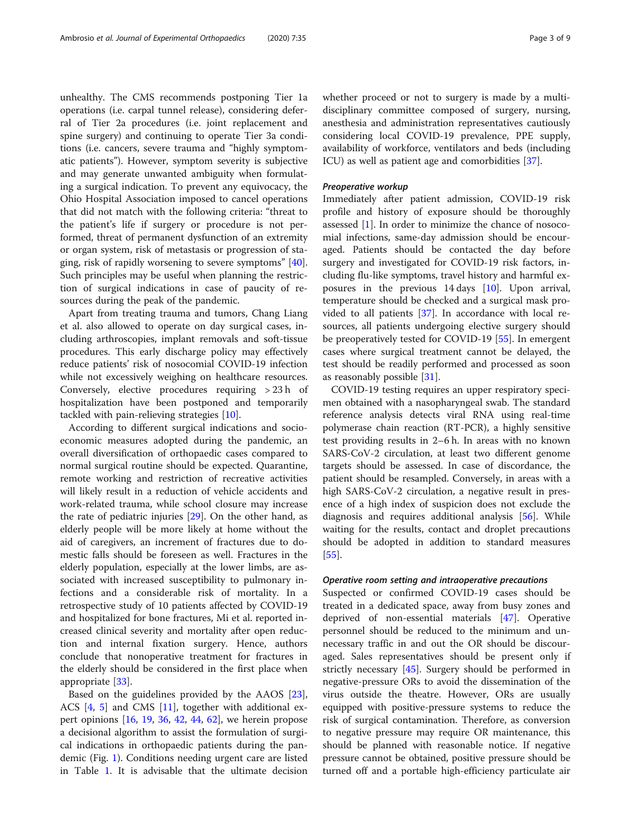unhealthy. The CMS recommends postponing Tier 1a operations (i.e. carpal tunnel release), considering deferral of Tier 2a procedures (i.e. joint replacement and spine surgery) and continuing to operate Tier 3a conditions (i.e. cancers, severe trauma and "highly symptomatic patients"). However, symptom severity is subjective and may generate unwanted ambiguity when formulating a surgical indication. To prevent any equivocacy, the Ohio Hospital Association imposed to cancel operations that did not match with the following criteria: "threat to the patient's life if surgery or procedure is not performed, threat of permanent dysfunction of an extremity or organ system, risk of metastasis or progression of staging, risk of rapidly worsening to severe symptoms" [\[40](#page-7-0)]. Such principles may be useful when planning the restriction of surgical indications in case of paucity of resources during the peak of the pandemic.

Apart from treating trauma and tumors, Chang Liang et al. also allowed to operate on day surgical cases, including arthroscopies, implant removals and soft-tissue procedures. This early discharge policy may effectively reduce patients' risk of nosocomial COVID-19 infection while not excessively weighing on healthcare resources. Conversely, elective procedures requiring > 23 h of hospitalization have been postponed and temporarily tackled with pain-relieving strategies [[10](#page-7-0)].

According to different surgical indications and socioeconomic measures adopted during the pandemic, an overall diversification of orthopaedic cases compared to normal surgical routine should be expected. Quarantine, remote working and restriction of recreative activities will likely result in a reduction of vehicle accidents and work-related trauma, while school closure may increase the rate of pediatric injuries [[29](#page-7-0)]. On the other hand, as elderly people will be more likely at home without the aid of caregivers, an increment of fractures due to domestic falls should be foreseen as well. Fractures in the elderly population, especially at the lower limbs, are associated with increased susceptibility to pulmonary infections and a considerable risk of mortality. In a retrospective study of 10 patients affected by COVID-19 and hospitalized for bone fractures, Mi et al. reported increased clinical severity and mortality after open reduction and internal fixation surgery. Hence, authors conclude that nonoperative treatment for fractures in the elderly should be considered in the first place when appropriate [[33\]](#page-7-0).

Based on the guidelines provided by the AAOS [\[23](#page-7-0)], ACS [[4,](#page-7-0) [5\]](#page-7-0) and CMS [\[11](#page-7-0)], together with additional expert opinions [\[16](#page-7-0), [19,](#page-7-0) [36](#page-7-0), [42,](#page-7-0) [44,](#page-8-0) [62](#page-8-0)], we herein propose a decisional algorithm to assist the formulation of surgical indications in orthopaedic patients during the pandemic (Fig. [1\)](#page-3-0). Conditions needing urgent care are listed in Table [1.](#page-4-0) It is advisable that the ultimate decision whether proceed or not to surgery is made by a multidisciplinary committee composed of surgery, nursing, anesthesia and administration representatives cautiously considering local COVID-19 prevalence, PPE supply, availability of workforce, ventilators and beds (including ICU) as well as patient age and comorbidities [\[37\]](#page-7-0).

## Preoperative workup

Immediately after patient admission, COVID-19 risk profile and history of exposure should be thoroughly assessed [[1](#page-7-0)]. In order to minimize the chance of nosocomial infections, same-day admission should be encouraged. Patients should be contacted the day before surgery and investigated for COVID-19 risk factors, including flu-like symptoms, travel history and harmful exposures in the previous 14 days [[10\]](#page-7-0). Upon arrival, temperature should be checked and a surgical mask provided to all patients [[37\]](#page-7-0). In accordance with local resources, all patients undergoing elective surgery should be preoperatively tested for COVID-19 [\[55](#page-8-0)]. In emergent cases where surgical treatment cannot be delayed, the test should be readily performed and processed as soon as reasonably possible [[31\]](#page-7-0).

COVID-19 testing requires an upper respiratory specimen obtained with a nasopharyngeal swab. The standard reference analysis detects viral RNA using real-time polymerase chain reaction (RT-PCR), a highly sensitive test providing results in 2–6 h. In areas with no known SARS-CoV-2 circulation, at least two different genome targets should be assessed. In case of discordance, the patient should be resampled. Conversely, in areas with a high SARS-CoV-2 circulation, a negative result in presence of a high index of suspicion does not exclude the diagnosis and requires additional analysis [\[56\]](#page-8-0). While waiting for the results, contact and droplet precautions should be adopted in addition to standard measures [[55\]](#page-8-0).

## Operative room setting and intraoperative precautions

Suspected or confirmed COVID-19 cases should be treated in a dedicated space, away from busy zones and deprived of non-essential materials [\[47](#page-8-0)]. Operative personnel should be reduced to the minimum and unnecessary traffic in and out the OR should be discouraged. Sales representatives should be present only if strictly necessary [[45\]](#page-8-0). Surgery should be performed in negative-pressure ORs to avoid the dissemination of the virus outside the theatre. However, ORs are usually equipped with positive-pressure systems to reduce the risk of surgical contamination. Therefore, as conversion to negative pressure may require OR maintenance, this should be planned with reasonable notice. If negative pressure cannot be obtained, positive pressure should be turned off and a portable high-efficiency particulate air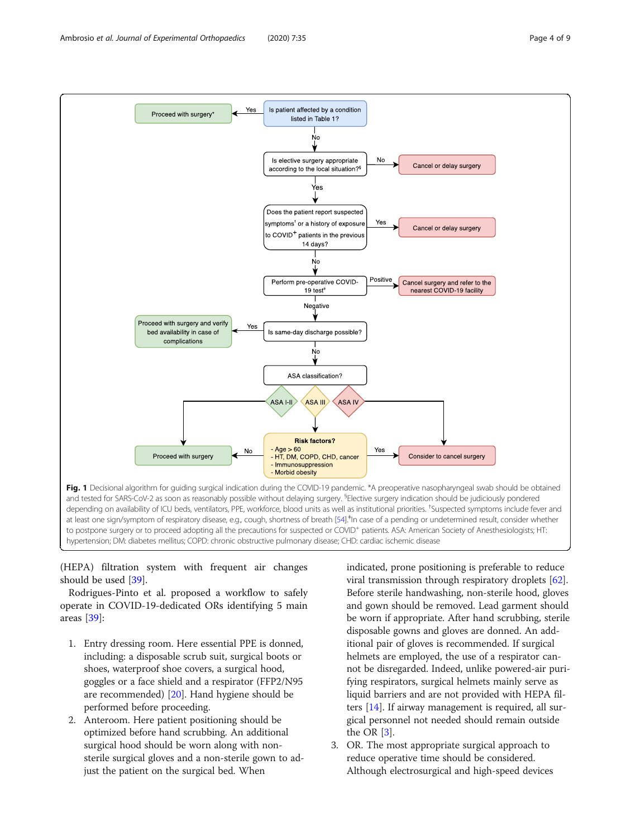<span id="page-3-0"></span>

(HEPA) filtration system with frequent air changes should be used [\[39](#page-7-0)].

Rodrigues-Pinto et al. proposed a workflow to safely operate in COVID-19-dedicated ORs identifying 5 main areas [\[39](#page-7-0)]:

- 1. Entry dressing room. Here essential PPE is donned, including: a disposable scrub suit, surgical boots or shoes, waterproof shoe covers, a surgical hood, goggles or a face shield and a respirator (FFP2/N95 are recommended) [\[20](#page-7-0)]. Hand hygiene should be performed before proceeding.
- 2. Anteroom. Here patient positioning should be optimized before hand scrubbing. An additional surgical hood should be worn along with nonsterile surgical gloves and a non-sterile gown to adjust the patient on the surgical bed. When

indicated, prone positioning is preferable to reduce viral transmission through respiratory droplets [[62](#page-8-0)]. Before sterile handwashing, non-sterile hood, gloves and gown should be removed. Lead garment should be worn if appropriate. After hand scrubbing, sterile disposable gowns and gloves are donned. An additional pair of gloves is recommended. If surgical helmets are employed, the use of a respirator cannot be disregarded. Indeed, unlike powered-air purifying respirators, surgical helmets mainly serve as liquid barriers and are not provided with HEPA filters [\[14\]](#page-7-0). If airway management is required, all surgical personnel not needed should remain outside the OR  $[3]$  $[3]$  $[3]$ .

3. OR. The most appropriate surgical approach to reduce operative time should be considered. Although electrosurgical and high-speed devices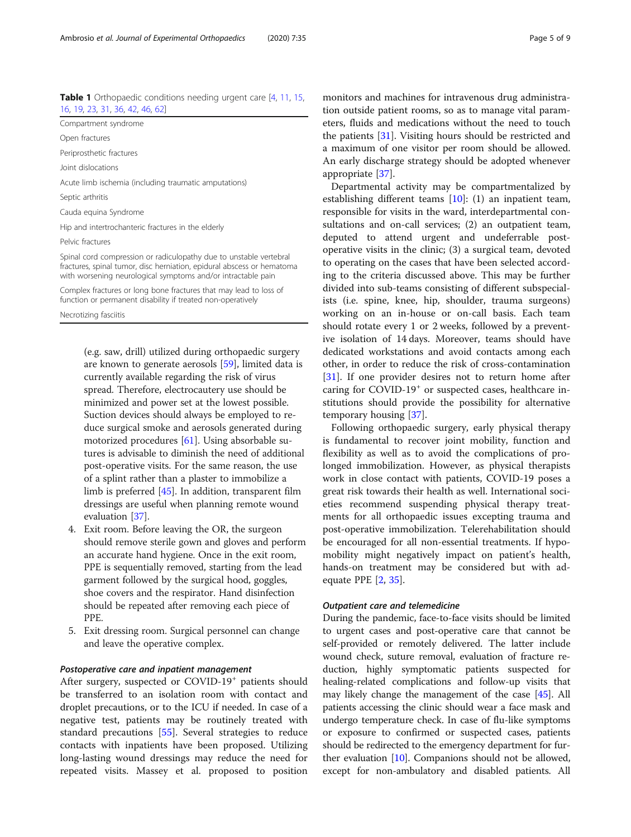<span id="page-4-0"></span>

| <b>Table 1</b> Orthopaedic conditions needing urgent care [4, 11, 15, |  |  |
|-----------------------------------------------------------------------|--|--|
| 16, 19, 23, 31, 36, 42, 46, 62]                                       |  |  |

Open fractures

Periprosthetic fractures

Joint dislocations

Acute limb ischemia (including traumatic amputations)

Septic arthritis

Cauda equina Syndrome

Hip and intertrochanteric fractures in the elderly

Pelvic fractures

Spinal cord compression or radiculopathy due to unstable vertebral fractures, spinal tumor, disc herniation, epidural abscess or hematoma with worsening neurological symptoms and/or intractable pain

Complex fractures or long bone fractures that may lead to loss of function or permanent disability if treated non-operatively

Necrotizing fasciitis

(e.g. saw, drill) utilized during orthopaedic surgery are known to generate aerosols [[59](#page-8-0)], limited data is currently available regarding the risk of virus spread. Therefore, electrocautery use should be minimized and power set at the lowest possible. Suction devices should always be employed to reduce surgical smoke and aerosols generated during motorized procedures [[61\]](#page-8-0). Using absorbable sutures is advisable to diminish the need of additional post-operative visits. For the same reason, the use of a splint rather than a plaster to immobilize a limb is preferred [\[45\]](#page-8-0). In addition, transparent film dressings are useful when planning remote wound evaluation [\[37](#page-7-0)].

- 4. Exit room. Before leaving the OR, the surgeon should remove sterile gown and gloves and perform an accurate hand hygiene. Once in the exit room, PPE is sequentially removed, starting from the lead garment followed by the surgical hood, goggles, shoe covers and the respirator. Hand disinfection should be repeated after removing each piece of PPE.
- 5. Exit dressing room. Surgical personnel can change and leave the operative complex.

## Postoperative care and inpatient management

After surgery, suspected or COVID-19<sup>+</sup> patients should be transferred to an isolation room with contact and droplet precautions, or to the ICU if needed. In case of a negative test, patients may be routinely treated with standard precautions [[55](#page-8-0)]. Several strategies to reduce contacts with inpatients have been proposed. Utilizing long-lasting wound dressings may reduce the need for repeated visits. Massey et al. proposed to position monitors and machines for intravenous drug administration outside patient rooms, so as to manage vital parameters, fluids and medications without the need to touch the patients [\[31](#page-7-0)]. Visiting hours should be restricted and a maximum of one visitor per room should be allowed. An early discharge strategy should be adopted whenever appropriate [[37\]](#page-7-0).

Departmental activity may be compartmentalized by establishing different teams [[10\]](#page-7-0): (1) an inpatient team, responsible for visits in the ward, interdepartmental consultations and on-call services; (2) an outpatient team, deputed to attend urgent and undeferrable postoperative visits in the clinic; (3) a surgical team, devoted to operating on the cases that have been selected according to the criteria discussed above. This may be further divided into sub-teams consisting of different subspecialists (i.e. spine, knee, hip, shoulder, trauma surgeons) working on an in-house or on-call basis. Each team should rotate every 1 or 2 weeks, followed by a preventive isolation of 14 days. Moreover, teams should have dedicated workstations and avoid contacts among each other, in order to reduce the risk of cross-contamination [[31\]](#page-7-0). If one provider desires not to return home after caring for COVID-19<sup>+</sup> or suspected cases, healthcare institutions should provide the possibility for alternative temporary housing [\[37](#page-7-0)].

Following orthopaedic surgery, early physical therapy is fundamental to recover joint mobility, function and flexibility as well as to avoid the complications of prolonged immobilization. However, as physical therapists work in close contact with patients, COVID-19 poses a great risk towards their health as well. International societies recommend suspending physical therapy treatments for all orthopaedic issues excepting trauma and post-operative immobilization. Telerehabilitation should be encouraged for all non-essential treatments. If hypomobility might negatively impact on patient's health, hands-on treatment may be considered but with adequate PPE [\[2](#page-7-0), [35](#page-7-0)].

## Outpatient care and telemedicine

During the pandemic, face-to-face visits should be limited to urgent cases and post-operative care that cannot be self-provided or remotely delivered. The latter include wound check, suture removal, evaluation of fracture reduction, highly symptomatic patients suspected for healing-related complications and follow-up visits that may likely change the management of the case [[45](#page-8-0)]. All patients accessing the clinic should wear a face mask and undergo temperature check. In case of flu-like symptoms or exposure to confirmed or suspected cases, patients should be redirected to the emergency department for further evaluation [\[10\]](#page-7-0). Companions should not be allowed, except for non-ambulatory and disabled patients. All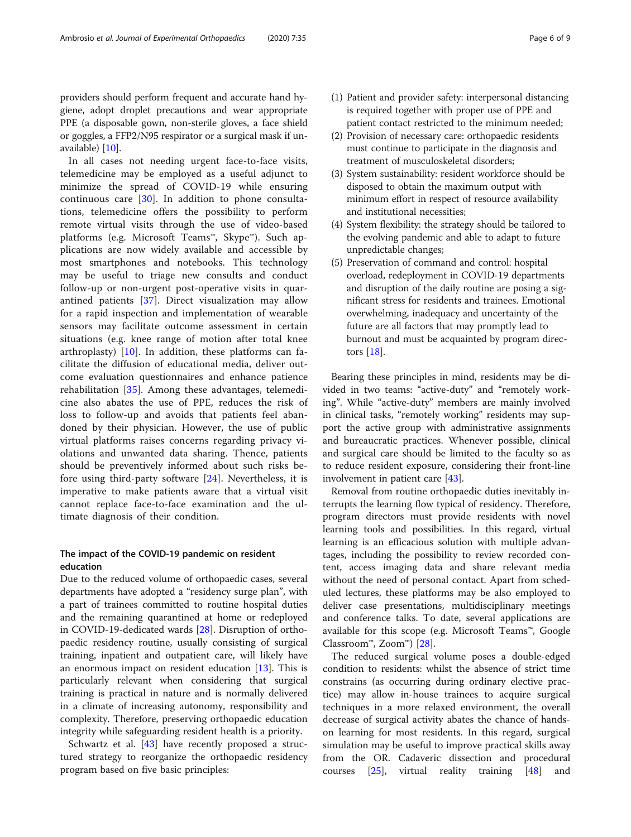providers should perform frequent and accurate hand hygiene, adopt droplet precautions and wear appropriate PPE (a disposable gown, non-sterile gloves, a face shield or goggles, a FFP2/N95 respirator or a surgical mask if unavailable) [[10](#page-7-0)].

In all cases not needing urgent face-to-face visits, telemedicine may be employed as a useful adjunct to minimize the spread of COVID-19 while ensuring continuous care [[30\]](#page-7-0). In addition to phone consultations, telemedicine offers the possibility to perform remote virtual visits through the use of video-based platforms (e.g. Microsoft Teams™, Skype™). Such applications are now widely available and accessible by most smartphones and notebooks. This technology may be useful to triage new consults and conduct follow-up or non-urgent post-operative visits in quarantined patients [\[37](#page-7-0)]. Direct visualization may allow for a rapid inspection and implementation of wearable sensors may facilitate outcome assessment in certain situations (e.g. knee range of motion after total knee arthroplasty) [\[10](#page-7-0)]. In addition, these platforms can facilitate the diffusion of educational media, deliver outcome evaluation questionnaires and enhance patience rehabilitation [[35\]](#page-7-0). Among these advantages, telemedicine also abates the use of PPE, reduces the risk of loss to follow-up and avoids that patients feel abandoned by their physician. However, the use of public virtual platforms raises concerns regarding privacy violations and unwanted data sharing. Thence, patients should be preventively informed about such risks before using third-party software [\[24](#page-7-0)]. Nevertheless, it is imperative to make patients aware that a virtual visit cannot replace face-to-face examination and the ultimate diagnosis of their condition.

# The impact of the COVID-19 pandemic on resident education

Due to the reduced volume of orthopaedic cases, several departments have adopted a "residency surge plan", with a part of trainees committed to routine hospital duties and the remaining quarantined at home or redeployed in COVID-19-dedicated wards [\[28](#page-7-0)]. Disruption of orthopaedic residency routine, usually consisting of surgical training, inpatient and outpatient care, will likely have an enormous impact on resident education [[13](#page-7-0)]. This is particularly relevant when considering that surgical training is practical in nature and is normally delivered in a climate of increasing autonomy, responsibility and complexity. Therefore, preserving orthopaedic education integrity while safeguarding resident health is a priority.

Schwartz et al. [\[43](#page-7-0)] have recently proposed a structured strategy to reorganize the orthopaedic residency program based on five basic principles:

- (1) Patient and provider safety: interpersonal distancing is required together with proper use of PPE and patient contact restricted to the minimum needed;
- (2) Provision of necessary care: orthopaedic residents must continue to participate in the diagnosis and treatment of musculoskeletal disorders;
- (3) System sustainability: resident workforce should be disposed to obtain the maximum output with minimum effort in respect of resource availability and institutional necessities;
- (4) System flexibility: the strategy should be tailored to the evolving pandemic and able to adapt to future unpredictable changes;
- (5) Preservation of command and control: hospital overload, redeployment in COVID-19 departments and disruption of the daily routine are posing a significant stress for residents and trainees. Emotional overwhelming, inadequacy and uncertainty of the future are all factors that may promptly lead to burnout and must be acquainted by program directors [[18\]](#page-7-0).

Bearing these principles in mind, residents may be divided in two teams: "active-duty" and "remotely working". While "active-duty" members are mainly involved in clinical tasks, "remotely working" residents may support the active group with administrative assignments and bureaucratic practices. Whenever possible, clinical and surgical care should be limited to the faculty so as to reduce resident exposure, considering their front-line involvement in patient care [\[43\]](#page-7-0).

Removal from routine orthopaedic duties inevitably interrupts the learning flow typical of residency. Therefore, program directors must provide residents with novel learning tools and possibilities. In this regard, virtual learning is an efficacious solution with multiple advantages, including the possibility to review recorded content, access imaging data and share relevant media without the need of personal contact. Apart from scheduled lectures, these platforms may be also employed to deliver case presentations, multidisciplinary meetings and conference talks. To date, several applications are available for this scope (e.g. Microsoft Teams™, Google Classroom<sup>™</sup>, Zoom<sup>™</sup>) [\[28\]](#page-7-0).

The reduced surgical volume poses a double-edged condition to residents: whilst the absence of strict time constrains (as occurring during ordinary elective practice) may allow in-house trainees to acquire surgical techniques in a more relaxed environment, the overall decrease of surgical activity abates the chance of handson learning for most residents. In this regard, surgical simulation may be useful to improve practical skills away from the OR. Cadaveric dissection and procedural courses [\[25\]](#page-7-0), virtual reality training [[48\]](#page-8-0) and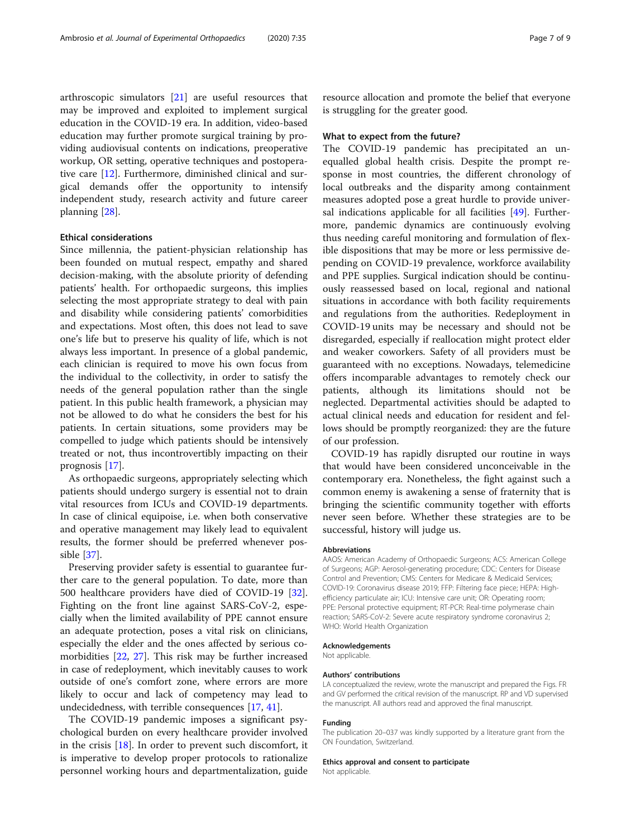arthroscopic simulators [\[21](#page-7-0)] are useful resources that may be improved and exploited to implement surgical education in the COVID-19 era. In addition, video-based education may further promote surgical training by providing audiovisual contents on indications, preoperative workup, OR setting, operative techniques and postoperative care [\[12](#page-7-0)]. Furthermore, diminished clinical and surgical demands offer the opportunity to intensify independent study, research activity and future career planning [\[28](#page-7-0)].

## Ethical considerations

Since millennia, the patient-physician relationship has been founded on mutual respect, empathy and shared decision-making, with the absolute priority of defending patients' health. For orthopaedic surgeons, this implies selecting the most appropriate strategy to deal with pain and disability while considering patients' comorbidities and expectations. Most often, this does not lead to save one's life but to preserve his quality of life, which is not always less important. In presence of a global pandemic, each clinician is required to move his own focus from the individual to the collectivity, in order to satisfy the needs of the general population rather than the single patient. In this public health framework, a physician may not be allowed to do what he considers the best for his patients. In certain situations, some providers may be compelled to judge which patients should be intensively treated or not, thus incontrovertibly impacting on their prognosis [\[17\]](#page-7-0).

As orthopaedic surgeons, appropriately selecting which patients should undergo surgery is essential not to drain vital resources from ICUs and COVID-19 departments. In case of clinical equipoise, i.e. when both conservative and operative management may likely lead to equivalent results, the former should be preferred whenever possible [\[37](#page-7-0)].

Preserving provider safety is essential to guarantee further care to the general population. To date, more than 500 healthcare providers have died of COVID-19 [\[32](#page-7-0)]. Fighting on the front line against SARS-CoV-2, especially when the limited availability of PPE cannot ensure an adequate protection, poses a vital risk on clinicians, especially the elder and the ones affected by serious comorbidities [\[22,](#page-7-0) [27\]](#page-7-0). This risk may be further increased in case of redeployment, which inevitably causes to work outside of one's comfort zone, where errors are more likely to occur and lack of competency may lead to undecidedness, with terrible consequences [[17,](#page-7-0) [41](#page-7-0)].

The COVID-19 pandemic imposes a significant psychological burden on every healthcare provider involved in the crisis  $[18]$  $[18]$ . In order to prevent such discomfort, it is imperative to develop proper protocols to rationalize personnel working hours and departmentalization, guide

resource allocation and promote the belief that everyone is struggling for the greater good.

## What to expect from the future?

The COVID-19 pandemic has precipitated an unequalled global health crisis. Despite the prompt response in most countries, the different chronology of local outbreaks and the disparity among containment measures adopted pose a great hurdle to provide universal indications applicable for all facilities [[49\]](#page-8-0). Furthermore, pandemic dynamics are continuously evolving thus needing careful monitoring and formulation of flexible dispositions that may be more or less permissive depending on COVID-19 prevalence, workforce availability and PPE supplies. Surgical indication should be continuously reassessed based on local, regional and national situations in accordance with both facility requirements and regulations from the authorities. Redeployment in COVID-19 units may be necessary and should not be disregarded, especially if reallocation might protect elder and weaker coworkers. Safety of all providers must be guaranteed with no exceptions. Nowadays, telemedicine offers incomparable advantages to remotely check our patients, although its limitations should not be neglected. Departmental activities should be adapted to actual clinical needs and education for resident and fellows should be promptly reorganized: they are the future of our profession.

COVID-19 has rapidly disrupted our routine in ways that would have been considered unconceivable in the contemporary era. Nonetheless, the fight against such a common enemy is awakening a sense of fraternity that is bringing the scientific community together with efforts never seen before. Whether these strategies are to be successful, history will judge us.

#### Abbreviations

AAOS: American Academy of Orthopaedic Surgeons; ACS: American College of Surgeons; AGP: Aerosol-generating procedure; CDC: Centers for Disease Control and Prevention; CMS: Centers for Medicare & Medicaid Services; COVID-19: Coronavirus disease 2019; FFP: Filtering face piece; HEPA: Highefficiency particulate air; ICU: Intensive care unit; OR: Operating room; PPE: Personal protective equipment; RT-PCR: Real-time polymerase chain reaction; SARS-CoV-2: Severe acute respiratory syndrome coronavirus 2; WHO: World Health Organization

#### Acknowledgements

Not applicable.

#### Authors' contributions

LA conceptualized the review, wrote the manuscript and prepared the Figs. FR and GV performed the critical revision of the manuscript. RP and VD supervised the manuscript. All authors read and approved the final manuscript.

#### Funding

The publication 20–037 was kindly supported by a literature grant from the ON Foundation, Switzerland.

#### Ethics approval and consent to participate

Not applicable.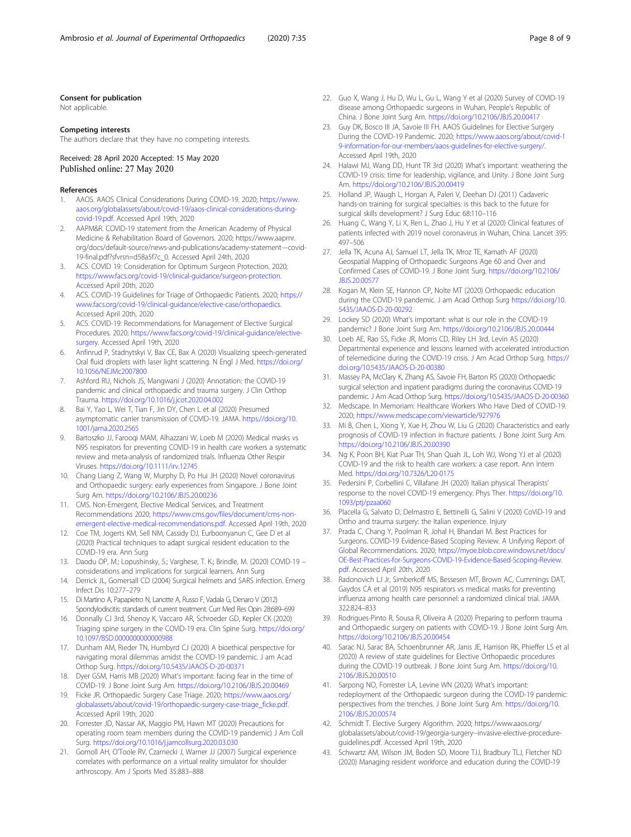## <span id="page-7-0"></span>Consent for publication

Not applicable.

#### Competing interests

The authors declare that they have no competing interests.

## Received: 28 April 2020 Accepted: 15 May 2020 Published online: 27 May 2020

#### References

- 1. AAOS. AAOS Clinical Considerations During COVID-19. 2020; [https://www.](https://www.aaos.org/globalassets/about/covid-19/aaos-clinical-considerations-during-covid-19.pdf) [aaos.org/globalassets/about/covid-19/aaos-clinical-considerations-during](https://www.aaos.org/globalassets/about/covid-19/aaos-clinical-considerations-during-covid-19.pdf)[covid-19.pdf.](https://www.aaos.org/globalassets/about/covid-19/aaos-clinical-considerations-during-covid-19.pdf) Accessed April 19th, 2020
- 2. AAPM&R. COVID-19 statement from the American Academy of Physical Medicine & Rehabilitation Board of Governors. 2020; https://www.aapmr. org/docs/default-source/news-and-publications/academy-statement---covid-19-final.pdf?sfvrsn=d58a5f7c\_0. Accessed April 24th, 2020
- 3. ACS. COVID 19: Consideration for Optimum Surgeon Protection. 2020; [https://www.facs.org/covid-19/clinical-guidance/surgeon-protection.](https://www.facs.org/covid-19/clinical-guidance/surgeon-protection) Accessed April 20th, 2020
- 4. ACS. COVID-19 Guidelines for Triage of Orthopaedic Patients. 2020; [https://](https://www.facs.org/covid-19/clinical-guidance/elective-case/orthopaedics) [www.facs.org/covid-19/clinical-guidance/elective-case/orthopaedics.](https://www.facs.org/covid-19/clinical-guidance/elective-case/orthopaedics) Accessed April 20th, 2020
- ACS. COVID-19: Recommendations for Management of Elective Surgical Procedures. 2020; [https://www.facs.org/covid-19/clinical-guidance/elective](https://www.facs.org/covid-19/clinical-guidance/elective-surgery)[surgery.](https://www.facs.org/covid-19/clinical-guidance/elective-surgery) Accessed April 19th, 2020
- 6. Anfinrud P, Stadnytskyi V, Bax CE, Bax A (2020) Visualizing speech-generated Oral fluid droplets with laser light scattering. N Engl J Med. [https://doi.org/](https://doi.org/10.1056/NEJMc2007800) [10.1056/NEJMc2007800](https://doi.org/10.1056/NEJMc2007800)
- 7. Ashford RU, Nichols JS, Mangwani J (2020) Annotation: the COVID-19 pandemic and clinical orthopaedic and trauma surgery. J Clin Orthop Trauma. <https://doi.org/10.1016/j.jcot.2020.04.002>
- 8. Bai Y, Yao L, Wei T, Tian F, Jin DY, Chen L et al (2020) Presumed asymptomatic carrier transmission of COVID-19. JAMA. [https://doi.org/10.](https://doi.org/10.1001/jama.2020.2565) [1001/jama.2020.2565](https://doi.org/10.1001/jama.2020.2565)
- 9. Bartoszko JJ, Farooqi MAM, Alhazzani W, Loeb M (2020) Medical masks vs N95 respirators for preventing COVID-19 in health care workers a systematic review and meta-analysis of randomized trials. Influenza Other Respir Viruses. <https://doi.org/10.1111/irv.12745>
- 10. Chang Liang Z, Wang W, Murphy D, Po Hui JH (2020) Novel coronavirus and Orthopaedic surgery: early experiences from Singapore. J Bone Joint Surg Am. <https://doi.org/10.2106/JBJS.20.00236>
- 11. CMS. Non-Emergent, Elective Medical Services, and Treatment Recommendations 2020; [https://www.cms.gov/files/document/cms-non](https://www.cms.gov/files/document/cms-non-emergent-elective-medical-recommendations.pdf)[emergent-elective-medical-recommendations.pdf.](https://www.cms.gov/files/document/cms-non-emergent-elective-medical-recommendations.pdf) Accessed April 19th, 2020
- 12. Coe TM, Jogerts KM, Sell NM, Cassidy DJ, Eurboonyanun C, Gee D et al (2020) Practical techniques to adapt surgical resident education to the COVID-19 era. Ann Surg
- 13. Daodu OP, M.; Lopushinsky, S.; Varghese, T. K.; Brindle, M. (2020) COVID-19 considerations and implications for surgical learners. Ann Surg
- 14. Derrick JL, Gomersall CD (2004) Surgical helmets and SARS infection. Emerg Infect Dis 10:277–279
- 15. Di Martino A, Papapietro N, Lanotte A, Russo F, Vadala G, Denaro V (2012) Spondylodiscitis: standards of current treatment. Curr Med Res Opin 28:689–699
- 16. Donnally CJ 3rd, Shenoy K, Vaccaro AR, Schroeder GD, Kepler CK (2020) Triaging spine surgery in the COVID-19 era. Clin Spine Surg. [https://doi.org/](https://doi.org/10.1097/BSD.0000000000000988) [10.1097/BSD.0000000000000988](https://doi.org/10.1097/BSD.0000000000000988)
- 17. Dunham AM, Rieder TN, Humbyrd CJ (2020) A bioethical perspective for navigating moral dilemmas amidst the COVID-19 pandemic. J am Acad Orthop Surg. <https://doi.org/10.5435/JAAOS-D-20-00371>
- 18. Dyer GSM, Harris MB (2020) What's important: facing fear in the time of COVID-19. J Bone Joint Surg Am. <https://doi.org/10.2106/JBJS.20.00469>
- 19. Ficke JR. Orthopaedic Surgery Case Triage. 2020; [https://www.aaos.org/](https://www.aaos.org/globalassets/about/covid-19/orthopaedic-surgery-case-triage_ficke.pdf) [globalassets/about/covid-19/orthopaedic-surgery-case-triage\\_ficke.pdf.](https://www.aaos.org/globalassets/about/covid-19/orthopaedic-surgery-case-triage_ficke.pdf) Accessed April 19th, 2020
- 20. Forrester JD, Nassar AK, Maggio PM, Hawn MT (2020) Precautions for operating room team members during the COVID-19 pandemic) J Am Coll Surg. <https://doi.org/10.1016/j.jamcollsurg.2020.03.030>
- 21. Gomoll AH, O'Toole RV, Czarnecki J, Warner JJ (2007) Surgical experience correlates with performance on a virtual reality simulator for shoulder arthroscopy. Am J Sports Med 35:883–888
- 22. Guo X, Wang J, Hu D, Wu L, Gu L, Wang Y et al (2020) Survey of COVID-19 disease among Orthopaedic surgeons in Wuhan, People's Republic of China. J Bone Joint Surg Am. <https://doi.org/10.2106/JBJS.20.00417>
- 23. Guy DK, Bosco III JA, Savoie III FH. AAOS Guidelines for Elective Surgery During the COVID-19 Pandemic. 2020; [https://www.aaos.org/about/covid-1](https://www.aaos.org/about/covid-19-information-for-our-members/aaos-guidelines-for-elective-surgery/) [9-information-for-our-members/aaos-guidelines-for-elective-surgery/](https://www.aaos.org/about/covid-19-information-for-our-members/aaos-guidelines-for-elective-surgery/). Accessed April 19th, 2020
- 24. Halawi MJ, Wang DD, Hunt TR 3rd (2020) What's important: weathering the COVID-19 crisis: time for leadership, vigilance, and Unity. J Bone Joint Surg Am. <https://doi.org/10.2106/JBJS.20.00419>
- 25. Holland JP, Waugh L, Horgan A, Paleri V, Deehan DJ (2011) Cadaveric hands-on training for surgical specialties: is this back to the future for surgical skills development? J Surg Educ 68:110–116
- 26. Huang C, Wang Y, Li X, Ren L, Zhao J, Hu Y et al (2020) Clinical features of patients infected with 2019 novel coronavirus in Wuhan, China. Lancet 395: 497–506
- 27. Jella TK, Acuna AJ, Samuel LT, Jella TK, Mroz TE, Kamath AF (2020) Geospatial Mapping of Orthopaedic Surgeons Age 60 and Over and Confirmed Cases of COVID-19. J Bone Joint Surg. [https://doi.org/10.2106/](https://doi.org/10.2106/JBJS.20.00577) [JBJS.20.00577](https://doi.org/10.2106/JBJS.20.00577)
- 28. Kogan M, Klein SE, Hannon CP, Nolte MT (2020) Orthopaedic education during the COVID-19 pandemic. J am Acad Orthop Surg [https://doi.org/10.](https://doi.org/10.5435/JAAOS-D-20-00292) [5435/JAAOS-D-20-00292](https://doi.org/10.5435/JAAOS-D-20-00292)
- 29. Lockey SD (2020) What's important: what is our role in the COVID-19 pandemic? J Bone Joint Surg Am. <https://doi.org/10.2106/JBJS.20.00444>
- 30. Loeb AE, Rao SS, Ficke JR, Morris CD, Riley LH 3rd, Levin AS (2020) Departmental experience and lessons learned with accelerated introduction of telemedicine during the COVID-19 crisis. J Am Acad Orthop Surg. [https://](https://doi.org/10.5435/JAAOS-D-20-00380) [doi.org/10.5435/JAAOS-D-20-00380](https://doi.org/10.5435/JAAOS-D-20-00380)
- 31. Massey PA, McClary K, Zhang AS, Savoie FH, Barton RS (2020) Orthopaedic surgical selection and inpatient paradigms during the coronavirus COVID-19 pandemic. J Am Acad Orthop Surg. <https://doi.org/10.5435/JAAOS-D-20-00360>
- 32. Medscape. In Memoriam: Healthcare Workers Who Have Died of COVID-19. 2020; <https://www.medscape.com/viewarticle/927976>
- 33. Mi B, Chen L, Xiong Y, Xue H, Zhou W, Liu G (2020) Characteristics and early prognosis of COVID-19 infection in fracture patients. J Bone Joint Surg Am. <https://doi.org/10.2106/JBJS.20.00390>
- 34. Ng K, Poon BH, Kiat Puar TH, Shan Quah JL, Loh WJ, Wong YJ et al (2020) COVID-19 and the risk to health care workers: a case report. Ann Intern Med. <https://doi.org/10.7326/L20-0175>
- 35. Pedersini P, Corbellini C, Villafane JH (2020) Italian physical Therapists' response to the novel COVID-19 emergency. Phys Ther. [https://doi.org/10.](https://doi.org/10.1093/ptj/pzaa060) [1093/ptj/pzaa060](https://doi.org/10.1093/ptj/pzaa060)
- 36. Placella G, Salvato D, Delmastro E, Bettinelli G, Salini V (2020) CoViD-19 and Ortho and trauma surgery: the Italian experience. Injury
- 37. Prada C, Chang Y, Poolman R, Johal H, Bhandari M. Best Practices for Surgeons. COVID-19 Evidence-Based Scoping Review. A Unifying Report of Global Recommendations. 2020; [https://myoe.blob.core.windows.net/docs/](https://myoe.blob.core.windows.net/docs/OE-Best-Practices-for-Surgeons-COVID-19-Evidence-Based-Scoping-Review.pdf) [OE-Best-Practices-for-Surgeons-COVID-19-Evidence-Based-Scoping-Review.](https://myoe.blob.core.windows.net/docs/OE-Best-Practices-for-Surgeons-COVID-19-Evidence-Based-Scoping-Review.pdf) [pdf](https://myoe.blob.core.windows.net/docs/OE-Best-Practices-for-Surgeons-COVID-19-Evidence-Based-Scoping-Review.pdf). Accessed April 20th, 2020
- 38. Radonovich LJ Jr, Simberkoff MS, Bessesen MT, Brown AC, Cummings DAT, Gaydos CA et al (2019) N95 respirators vs medical masks for preventing influenza among health care personnel: a randomized clinical trial. JAMA 322:824–833
- 39. Rodrigues-Pinto R, Sousa R, Oliveira A (2020) Preparing to perform trauma and Orthopaedic surgery on patients with COVID-19. J Bone Joint Surg Am. <https://doi.org/10.2106/JBJS.20.00454>
- 40. Sarac NJ, Sarac BA, Schoenbrunner AR, Janis JE, Harrison RK, Phieffer LS et al (2020) A review of state guidelines for Elective Orthopaedic procedures during the COVID-19 outbreak. J Bone Joint Surg Am. [https://doi.org/10.](https://doi.org/10.2106/JBJS.20.00510) [2106/JBJS.20.00510](https://doi.org/10.2106/JBJS.20.00510)
- 41. Sarpong NO, Forrester LA, Levine WN (2020) What's important: redeployment of the Orthopaedic surgeon during the COVID-19 pandemic: perspectives from the trenches. J Bone Joint Surg Am. [https://doi.org/10.](https://doi.org/10.2106/JBJS.20.00574) [2106/JBJS.20.00574](https://doi.org/10.2106/JBJS.20.00574)
- 42. Schmidt T. Elective Surgery Algorithm. 2020; https://www.aaos.org/ globalassets/about/covid-19/georgia-surgery--invasive-elective-procedureguidelines.pdf. Accessed April 19th, 2020
- Schwartz AM, Wilson JM, Boden SD, Moore TJJ, Bradbury TLJ, Fletcher ND (2020) Managing resident workforce and education during the COVID-19